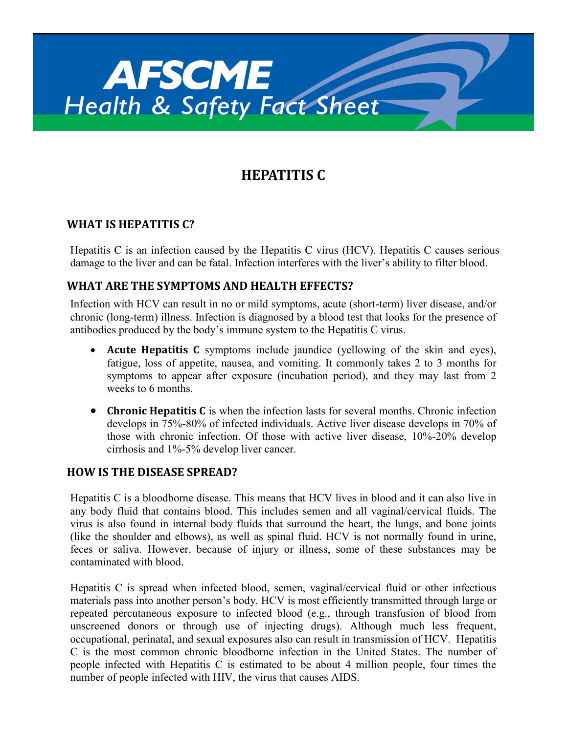

# **HEPATITIS C**

# **WHAT IS HEPATITIS C?**

Hepatitis C is an infection caused by the Hepatitis C virus (HCV). Hepatitis C causes serious damage to the liver and can be fatal. Infection interferes with the liver's ability to filter blood.

## **WHAT ARE THE SYMPTOMS AND HEALTH EFFECTS?**

Infection with HCV can result in no or mild symptoms, acute (short-term) liver disease, and/or chronic (long-term) illness. Infection is diagnosed by a blood test that looks for the presence of antibodies produced by the body's immune system to the Hepatitis C virus.

- **Acute Hepatitis C** symptoms include jaundice (yellowing of the skin and eyes), fatigue, loss of appetite, nausea, and vomiting. It commonly takes 2 to 3 months for symptoms to appear after exposure (incubation period), and they may last from 2 weeks to 6 months.
- **Chronic Hepatitis C** is when the infection lasts for several months. Chronic infection develops in 75%-80% of infected individuals. Active liver disease develops in 70% of those with chronic infection. Of those with active liver disease, 10%-20% develop cirrhosis and 1%-5% develop liver cancer.

#### **HOW IS THE DISEASE SPREAD?**

Hepatitis C is a bloodborne disease. This means that HCV lives in blood and it can also live in any body fluid that contains blood. This includes semen and all vaginal/cervical fluids. The virus is also found in internal body fluids that surround the heart, the lungs, and bone joints (like the shoulder and elbows), as well as spinal fluid. HCV is not normally found in urine, feces or saliva. However, because of injury or illness, some of these substances may be contaminated with blood.

Hepatitis C is spread when infected blood, semen, vaginal/cervical fluid or other infectious materials pass into another person's body. HCV is most efficiently transmitted through large or repeated percutaneous exposure to infected blood (e.g., through transfusion of blood from unscreened donors or through use of injecting drugs). Although much less frequent, occupational, perinatal, and sexual exposures also can result in transmission of HCV. Hepatitis C is the most common chronic bloodborne infection in the United States. The number of people infected with Hepatitis C is estimated to be about 4 million people, four times the number of people infected with HIV, the virus that causes AIDS.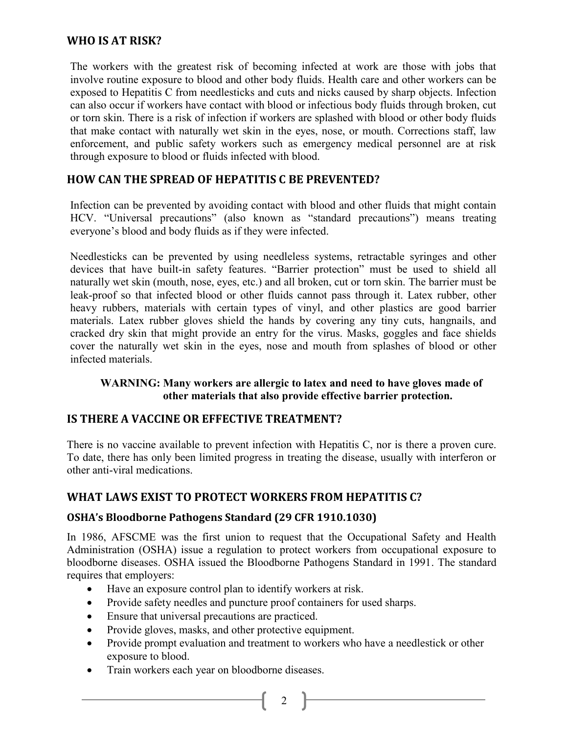# **WHO IS AT RISK?**

The workers with the greatest risk of becoming infected at work are those with jobs that involve routine exposure to blood and other body fluids. Health care and other workers can be exposed to Hepatitis C from needlesticks and cuts and nicks caused by sharp objects. Infection can also occur if workers have contact with blood or infectious body fluids through broken, cut or torn skin. There is a risk of infection if workers are splashed with blood or other body fluids that make contact with naturally wet skin in the eyes, nose, or mouth. Corrections staff, law enforcement, and public safety workers such as emergency medical personnel are at risk through exposure to blood or fluids infected with blood.

# **HOW CAN THE SPREAD OF HEPATITIS C BE PREVENTED?**

Infection can be prevented by avoiding contact with blood and other fluids that might contain HCV. "Universal precautions" (also known as "standard precautions") means treating everyone's blood and body fluids as if they were infected.

Needlesticks can be prevented by using needleless systems, retractable syringes and other devices that have built-in safety features. "Barrier protection" must be used to shield all naturally wet skin (mouth, nose, eyes, etc.) and all broken, cut or torn skin. The barrier must be leak-proof so that infected blood or other fluids cannot pass through it. Latex rubber, other heavy rubbers, materials with certain types of vinyl, and other plastics are good barrier materials. Latex rubber gloves shield the hands by covering any tiny cuts, hangnails, and cracked dry skin that might provide an entry for the virus. Masks, goggles and face shields cover the naturally wet skin in the eyes, nose and mouth from splashes of blood or other infected materials.

#### **WARNING: Many workers are allergic to latex and need to have gloves made of other materials that also provide effective barrier protection.**

#### **IS THERE A VACCINE OR EFFECTIVE TREATMENT?**

There is no vaccine available to prevent infection with Hepatitis C, nor is there a proven cure. To date, there has only been limited progress in treating the disease, usually with interferon or other anti-viral medications.

## **WHAT LAWS EXIST TO PROTECT WORKERS FROM HEPATITIS C?**

#### **OSHA's Bloodborne Pathogens Standard (29 CFR 1910.1030)**

In 1986, AFSCME was the first union to request that the Occupational Safety and Health Administration (OSHA) issue a regulation to protect workers from occupational exposure to bloodborne diseases. OSHA issued the Bloodborne Pathogens Standard in 1991. The standard requires that employers:

- Have an exposure control plan to identify workers at risk.
- Provide safety needles and puncture proof containers for used sharps.
- Ensure that universal precautions are practiced.
- Provide gloves, masks, and other protective equipment.
- Provide prompt evaluation and treatment to workers who have a needlestick or other exposure to blood.
- Train workers each year on bloodborne diseases.

2